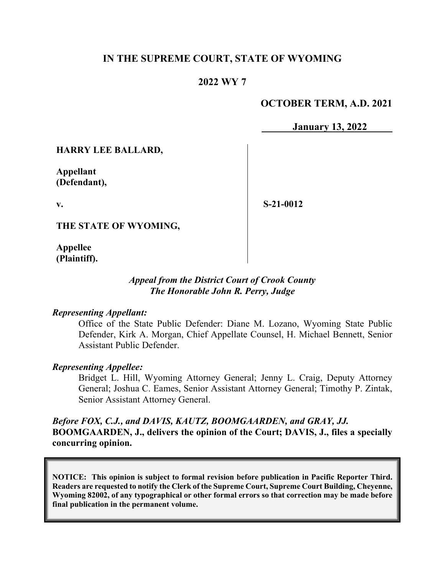## **IN THE SUPREME COURT, STATE OF WYOMING**

## **2022 WY 7**

# **OCTOBER TERM, A.D. 2021**

**January 13, 2022**

**HARRY LEE BALLARD,**

**Appellant (Defendant),**

**v.** 

**S-21-0012**

**THE STATE OF WYOMING,**

**Appellee (Plaintiff).**

### *Appeal from the District Court of Crook County The Honorable John R. Perry, Judge*

#### *Representing Appellant:*

Office of the State Public Defender: Diane M. Lozano, Wyoming State Public Defender, Kirk A. Morgan, Chief Appellate Counsel, H. Michael Bennett, Senior Assistant Public Defender.

#### *Representing Appellee:*

Bridget L. Hill, Wyoming Attorney General; Jenny L. Craig, Deputy Attorney General; Joshua C. Eames, Senior Assistant Attorney General; Timothy P. Zintak, Senior Assistant Attorney General.

## *Before FOX, C.J., and DAVIS, KAUTZ, BOOMGAARDEN, and GRAY, JJ.* **BOOMGAARDEN, J., delivers the opinion of the Court; DAVIS, J., files a specially concurring opinion.**

**NOTICE: This opinion is subject to formal revision before publication in Pacific Reporter Third. Readers are requested to notify the Clerk of the Supreme Court, Supreme Court Building, Cheyenne, Wyoming 82002, of any typographical or other formal errors so that correction may be made before final publication in the permanent volume.**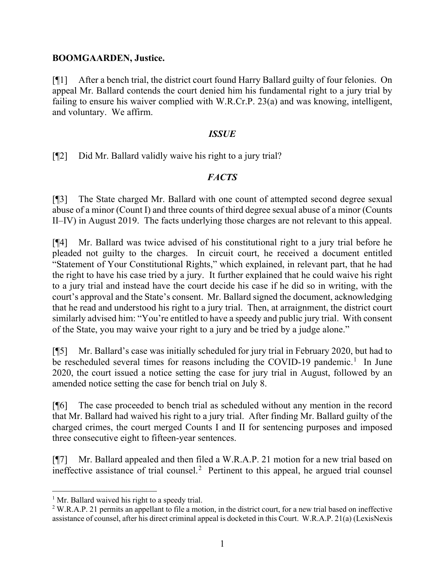### **BOOMGAARDEN, Justice.**

[¶1] After a bench trial, the district court found Harry Ballard guilty of four felonies. On appeal Mr. Ballard contends the court denied him his fundamental right to a jury trial by failing to ensure his waiver complied with W.R.Cr.P. 23(a) and was knowing, intelligent, and voluntary. We affirm.

### *ISSUE*

[¶2] Did Mr. Ballard validly waive his right to a jury trial?

# *FACTS*

[¶3] The State charged Mr. Ballard with one count of attempted second degree sexual abuse of a minor (Count I) and three counts of third degree sexual abuse of a minor (Counts II–IV) in August 2019. The facts underlying those charges are not relevant to this appeal.

[¶4] Mr. Ballard was twice advised of his constitutional right to a jury trial before he pleaded not guilty to the charges. In circuit court, he received a document entitled "Statement of Your Constitutional Rights," which explained, in relevant part, that he had the right to have his case tried by a jury. It further explained that he could waive his right to a jury trial and instead have the court decide his case if he did so in writing, with the court's approval and the State's consent. Mr. Ballard signed the document, acknowledging that he read and understood his right to a jury trial. Then, at arraignment, the district court similarly advised him: "You're entitled to have a speedy and public jury trial. With consent of the State, you may waive your right to a jury and be tried by a judge alone."

[¶5] Mr. Ballard's case was initially scheduled for jury trial in February 2020, but had to be rescheduled several times for reasons including the COVID-[1](#page-1-0)9 pandemic.<sup>1</sup> In June 2020, the court issued a notice setting the case for jury trial in August, followed by an amended notice setting the case for bench trial on July 8.

[¶6] The case proceeded to bench trial as scheduled without any mention in the record that Mr. Ballard had waived his right to a jury trial. After finding Mr. Ballard guilty of the charged crimes, the court merged Counts I and II for sentencing purposes and imposed three consecutive eight to fifteen-year sentences.

[¶7] Mr. Ballard appealed and then filed a W.R.A.P. 21 motion for a new trial based on ineffective assistance of trial counsel.<sup>[2](#page-1-1)</sup> Pertinent to this appeal, he argued trial counsel

<span id="page-1-0"></span> $<sup>1</sup>$  Mr. Ballard waived his right to a speedy trial.</sup>

<span id="page-1-1"></span><sup>&</sup>lt;sup>2</sup> W.R.A.P. 21 permits an appellant to file a motion, in the district court, for a new trial based on ineffective assistance of counsel, after his direct criminal appeal is docketed in this Court. W.R.A.P. 21(a) (LexisNexis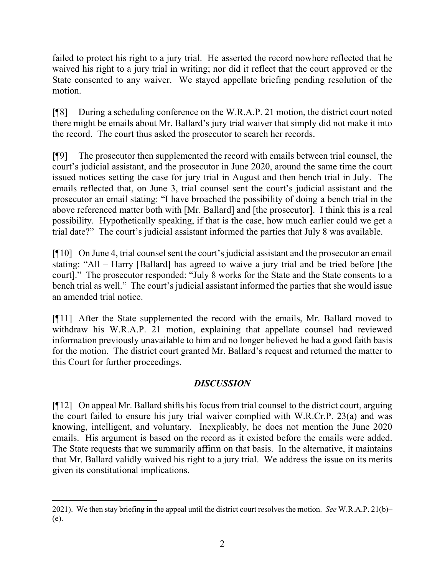failed to protect his right to a jury trial. He asserted the record nowhere reflected that he waived his right to a jury trial in writing; nor did it reflect that the court approved or the State consented to any waiver. We stayed appellate briefing pending resolution of the motion.

[¶8] During a scheduling conference on the W.R.A.P. 21 motion, the district court noted there might be emails about Mr. Ballard's jury trial waiver that simply did not make it into the record. The court thus asked the prosecutor to search her records.

[¶9] The prosecutor then supplemented the record with emails between trial counsel, the court's judicial assistant, and the prosecutor in June 2020, around the same time the court issued notices setting the case for jury trial in August and then bench trial in July. The emails reflected that, on June 3, trial counsel sent the court's judicial assistant and the prosecutor an email stating: "I have broached the possibility of doing a bench trial in the above referenced matter both with [Mr. Ballard] and [the prosecutor]. I think this is a real possibility. Hypothetically speaking, if that is the case, how much earlier could we get a trial date?" The court's judicial assistant informed the parties that July 8 was available.

[¶10] On June 4, trial counsel sent the court's judicial assistant and the prosecutor an email stating: "All – Harry [Ballard] has agreed to waive a jury trial and be tried before [the court]." The prosecutor responded: "July 8 works for the State and the State consents to a bench trial as well." The court's judicial assistant informed the parties that she would issue an amended trial notice.

[¶11] After the State supplemented the record with the emails, Mr. Ballard moved to withdraw his W.R.A.P. 21 motion, explaining that appellate counsel had reviewed information previously unavailable to him and no longer believed he had a good faith basis for the motion. The district court granted Mr. Ballard's request and returned the matter to this Court for further proceedings.

# *DISCUSSION*

[¶12] On appeal Mr. Ballard shifts his focus from trial counsel to the district court, arguing the court failed to ensure his jury trial waiver complied with W.R.Cr.P. 23(a) and was knowing, intelligent, and voluntary. Inexplicably, he does not mention the June 2020 emails. His argument is based on the record as it existed before the emails were added. The State requests that we summarily affirm on that basis. In the alternative, it maintains that Mr. Ballard validly waived his right to a jury trial. We address the issue on its merits given its constitutional implications.

<sup>2021).</sup> We then stay briefing in the appeal until the district court resolves the motion. *See* W.R.A.P. 21(b)– (e).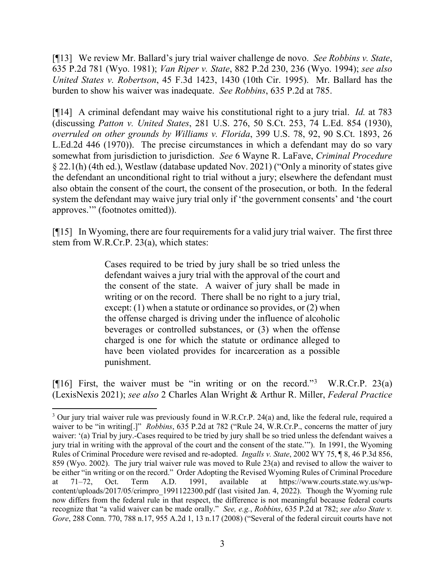[¶13] We review Mr. Ballard's jury trial waiver challenge de novo. *See Robbins v. State*, 635 P.2d 781 (Wyo. 1981); *Van Riper v. State*, 882 P.2d 230, 236 (Wyo. 1994); *see also United States v. Robertson*, 45 F.3d 1423, 1430 (10th Cir. 1995). Mr. Ballard has the burden to show his waiver was inadequate. *See Robbins*, 635 P.2d at 785.

[¶14] A criminal defendant may waive his constitutional right to a jury trial. *Id.* at 783 (discussing *Patton v. United States*, 281 U.S. 276, 50 S.Ct. 253, 74 L.Ed. 854 (1930), *overruled on other grounds by Williams v. Florida*, 399 U.S. 78, 92, 90 S.Ct. 1893, 26 L.Ed.2d 446 (1970)). The precise circumstances in which a defendant may do so vary somewhat from jurisdiction to jurisdiction. *See* 6 Wayne R. LaFave, *Criminal Procedure* § 22.1(h) (4th ed.), Westlaw (database updated Nov. 2021) ("Only a minority of states give the defendant an unconditional right to trial without a jury; elsewhere the defendant must also obtain the consent of the court, the consent of the prosecution, or both. In the federal system the defendant may waive jury trial only if 'the government consents' and 'the court approves.'" (footnotes omitted)).

[¶15] In Wyoming, there are four requirements for a valid jury trial waiver. The first three stem from W.R.Cr.P. 23(a), which states:

> Cases required to be tried by jury shall be so tried unless the defendant waives a jury trial with the approval of the court and the consent of the state. A waiver of jury shall be made in writing or on the record. There shall be no right to a jury trial, except: (1) when a statute or ordinance so provides, or (2) when the offense charged is driving under the influence of alcoholic beverages or controlled substances, or (3) when the offense charged is one for which the statute or ordinance alleged to have been violated provides for incarceration as a possible punishment.

[¶16] First, the waiver must be "in writing or on the record."[3](#page-3-0) W.R.Cr.P. 23(a) (LexisNexis 2021); *see also* 2 Charles Alan Wright & Arthur R. Miller, *Federal Practice*

<span id="page-3-0"></span><sup>&</sup>lt;sup>3</sup> Our jury trial waiver rule was previously found in W.R.Cr.P. 24(a) and, like the federal rule, required a waiver to be "in writing[.]" *Robbins*, 635 P.2d at 782 ("Rule 24, W.R.Cr.P., concerns the matter of jury waiver: '(a) Trial by jury.-Cases required to be tried by jury shall be so tried unless the defendant waives a jury trial in writing with the approval of the court and the consent of the state.'"). In 1991, the Wyoming Rules of Criminal Procedure were revised and re-adopted. *Ingalls v. State*, 2002 WY 75, ¶ 8, 46 P.3d 856, 859 (Wyo. 2002). The jury trial waiver rule was moved to Rule 23(a) and revised to allow the waiver to be either "in writing or on the record." Order Adopting the Revised Wyoming Rules of Criminal Procedure at 71–72, Oct. Term A.D. 1991, available at https://www.courts.state.wy.us/wpcontent/uploads/2017/05/crimpro\_1991122300.pdf (last visited Jan. 4, 2022). Though the Wyoming rule now differs from the federal rule in that respect, the difference is not meaningful because federal courts recognize that "a valid waiver can be made orally." *See, e.g.*, *Robbins*, 635 P.2d at 782; *see also State v. Gore*, 288 Conn. 770, 788 n.17, 955 A.2d 1, 13 n.17 (2008) ("Several of the federal circuit courts have not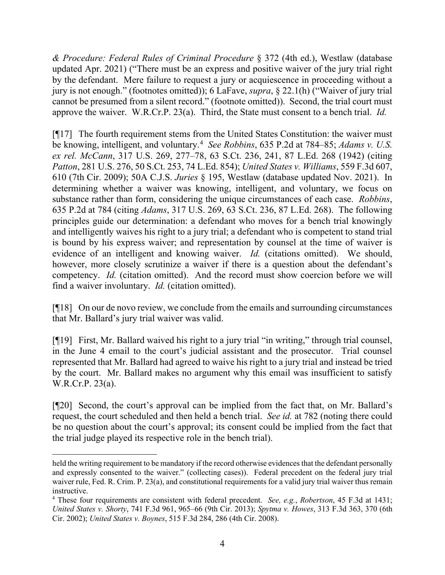*& Procedure: Federal Rules of Criminal Procedure* § 372 (4th ed.), Westlaw (database updated Apr. 2021) ("There must be an express and positive waiver of the jury trial right by the defendant. Mere failure to request a jury or acquiescence in proceeding without a jury is not enough." (footnotes omitted)); 6 LaFave, *supra*, § 22.1(h) ("Waiver of jury trial cannot be presumed from a silent record." (footnote omitted)). Second, the trial court must approve the waiver. W.R.Cr.P. 23(a). Third, the State must consent to a bench trial. *Id.*

[¶17] The fourth requirement stems from the United States Constitution: the waiver must be knowing, intelligent, and voluntary.[4](#page-4-0) *See Robbins*, 635 P.2d at 784–85; *Adams v. U.S. ex rel. McCann*, 317 U.S. 269, 277–78, 63 S.Ct. 236, 241, 87 L.Ed. 268 (1942) (citing *Patton*, 281 U.S. 276, 50 S.Ct. 253, 74 L.Ed. 854); *United States v. Williams*, 559 F.3d 607, 610 (7th Cir. 2009); 50A C.J.S. *Juries* § 195, Westlaw (database updated Nov. 2021). In determining whether a waiver was knowing, intelligent, and voluntary, we focus on substance rather than form, considering the unique circumstances of each case. *Robbins*, 635 P.2d at 784 (citing *Adams*, 317 U.S. 269, 63 S.Ct. 236, 87 L.Ed. 268). The following principles guide our determination: a defendant who moves for a bench trial knowingly and intelligently waives his right to a jury trial; a defendant who is competent to stand trial is bound by his express waiver; and representation by counsel at the time of waiver is evidence of an intelligent and knowing waiver. *Id.* (citations omitted). We should, however, more closely scrutinize a waiver if there is a question about the defendant's competency. *Id.* (citation omitted). And the record must show coercion before we will find a waiver involuntary. *Id.* (citation omitted).

[¶18] On our de novo review, we conclude from the emails and surrounding circumstances that Mr. Ballard's jury trial waiver was valid.

[¶19] First, Mr. Ballard waived his right to a jury trial "in writing," through trial counsel, in the June 4 email to the court's judicial assistant and the prosecutor. Trial counsel represented that Mr. Ballard had agreed to waive his right to a jury trial and instead be tried by the court. Mr. Ballard makes no argument why this email was insufficient to satisfy W.R.Cr.P. 23(a).

[¶20] Second, the court's approval can be implied from the fact that, on Mr. Ballard's request, the court scheduled and then held a bench trial. *See id.* at 782 (noting there could be no question about the court's approval; its consent could be implied from the fact that the trial judge played its respective role in the bench trial).

held the writing requirement to be mandatory if the record otherwise evidences that the defendant personally and expressly consented to the waiver." (collecting cases)). Federal precedent on the federal jury trial waiver rule, Fed. R. Crim. P. 23(a), and constitutional requirements for a valid jury trial waiver thus remain instructive.

<span id="page-4-0"></span><sup>4</sup> These four requirements are consistent with federal precedent. *See, e.g.*, *Robertson*, 45 F.3d at 1431; *United States v. Shorty*, 741 F.3d 961, 965–66 (9th Cir. 2013); *Spytma v. Howes*, 313 F.3d 363, 370 (6th Cir. 2002); *United States v. Boynes*, 515 F.3d 284, 286 (4th Cir. 2008).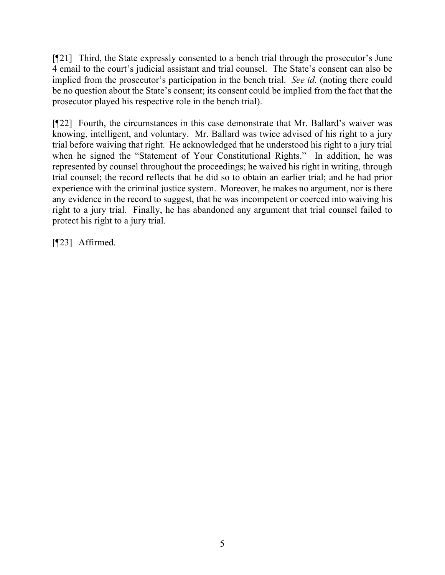[¶21] Third, the State expressly consented to a bench trial through the prosecutor's June 4 email to the court's judicial assistant and trial counsel. The State's consent can also be implied from the prosecutor's participation in the bench trial. *See id.* (noting there could be no question about the State's consent; its consent could be implied from the fact that the prosecutor played his respective role in the bench trial).

[¶22] Fourth, the circumstances in this case demonstrate that Mr. Ballard's waiver was knowing, intelligent, and voluntary. Mr. Ballard was twice advised of his right to a jury trial before waiving that right. He acknowledged that he understood his right to a jury trial when he signed the "Statement of Your Constitutional Rights." In addition, he was represented by counsel throughout the proceedings; he waived his right in writing, through trial counsel; the record reflects that he did so to obtain an earlier trial; and he had prior experience with the criminal justice system. Moreover, he makes no argument, nor is there any evidence in the record to suggest, that he was incompetent or coerced into waiving his right to a jury trial. Finally, he has abandoned any argument that trial counsel failed to protect his right to a jury trial.

[¶23] Affirmed.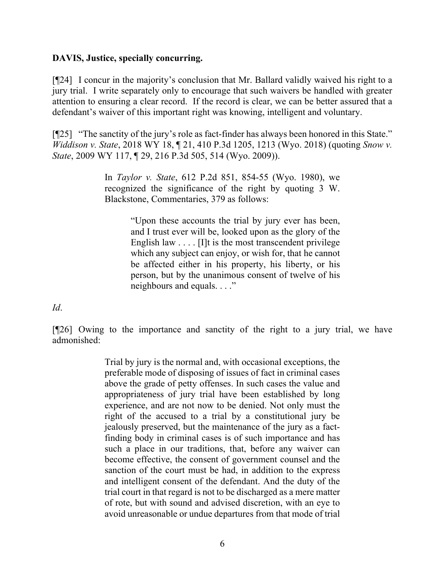### **DAVIS, Justice, specially concurring.**

[¶24] I concur in the majority's conclusion that Mr. Ballard validly waived his right to a jury trial. I write separately only to encourage that such waivers be handled with greater attention to ensuring a clear record. If the record is clear, we can be better assured that a defendant's waiver of this important right was knowing, intelligent and voluntary.

[¶25] "The sanctity of the jury's role as fact-finder has always been honored in this State." *Widdison v. State*, 2018 WY 18, ¶ 21, 410 P.3d 1205, 1213 (Wyo. 2018) (quoting *Snow v. State*, 2009 WY 117, ¶ 29, 216 P.3d 505, 514 (Wyo. 2009)).

> In *Taylor v. State*, 612 P.2d 851, 854-55 (Wyo. 1980), we recognized the significance of the right by quoting 3 W. Blackstone, Commentaries, 379 as follows:

> > "Upon these accounts the trial by jury ever has been, and I trust ever will be, looked upon as the glory of the English law  $\dots$  [I]t is the most transcendent privilege which any subject can enjoy, or wish for, that he cannot be affected either in his property, his liberty, or his person, but by the unanimous consent of twelve of his neighbours and equals. . . ."

*Id*.

[¶26] Owing to the importance and sanctity of the right to a jury trial, we have admonished:

> Trial by jury is the normal and, with occasional exceptions, the preferable mode of disposing of issues of fact in criminal cases above the grade of petty offenses. In such cases the value and appropriateness of jury trial have been established by long experience, and are not now to be denied. Not only must the right of the accused to a trial by a constitutional jury be jealously preserved, but the maintenance of the jury as a factfinding body in criminal cases is of such importance and has such a place in our traditions, that, before any waiver can become effective, the consent of government counsel and the sanction of the court must be had, in addition to the express and intelligent consent of the defendant. And the duty of the trial court in that regard is not to be discharged as a mere matter of rote, but with sound and advised discretion, with an eye to avoid unreasonable or undue departures from that mode of trial